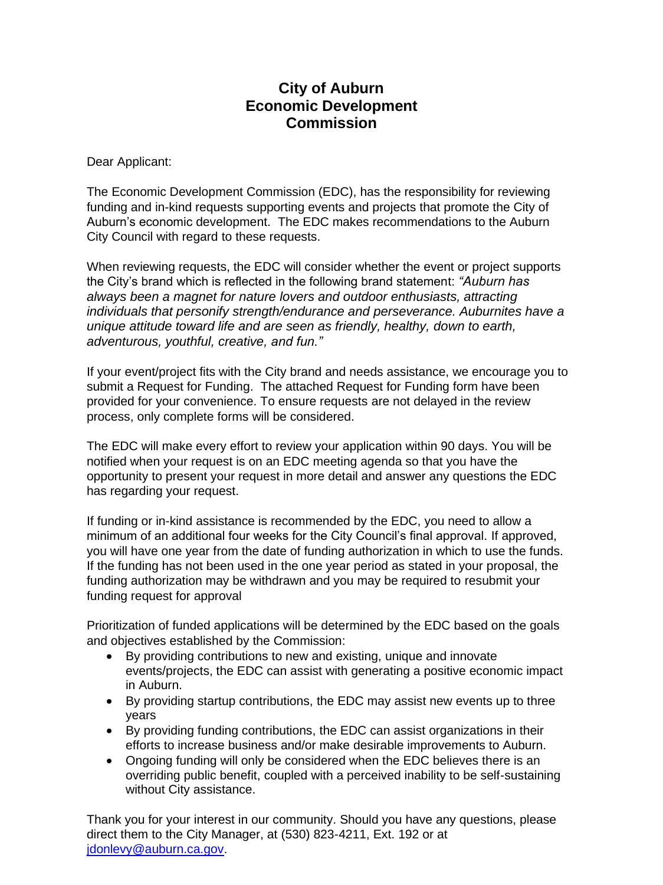## **City of Auburn Economic Development Commission**

Dear Applicant:

The Economic Development Commission (EDC), has the responsibility for reviewing funding and in-kind requests supporting events and projects that promote the City of Auburn's economic development. The EDC makes recommendations to the Auburn City Council with regard to these requests.

When reviewing requests, the EDC will consider whether the event or project supports the City's brand which is reflected in the following brand statement: *"Auburn has always been a magnet for nature lovers and outdoor enthusiasts, attracting individuals that personify strength/endurance and perseverance. Auburnites have a unique attitude toward life and are seen as friendly, healthy, down to earth, adventurous, youthful, creative, and fun."*

If your event/project fits with the City brand and needs assistance, we encourage you to submit a Request for Funding. The attached Request for Funding form have been provided for your convenience. To ensure requests are not delayed in the review process, only complete forms will be considered.

The EDC will make every effort to review your application within 90 days. You will be notified when your request is on an EDC meeting agenda so that you have the opportunity to present your request in more detail and answer any questions the EDC has regarding your request.

If funding or in-kind assistance is recommended by the EDC, you need to allow a minimum of an additional four weeks for the City Council's final approval. If approved, you will have one year from the date of funding authorization in which to use the funds. If the funding has not been used in the one year period as stated in your proposal, the funding authorization may be withdrawn and you may be required to resubmit your funding request for approval

Prioritization of funded applications will be determined by the EDC based on the goals and objectives established by the Commission:

- By providing contributions to new and existing, unique and innovate events/projects, the EDC can assist with generating a positive economic impact in Auburn.
- By providing startup contributions, the EDC may assist new events up to three years
- By providing funding contributions, the EDC can assist organizations in their efforts to increase business and/or make desirable improvements to Auburn.
- Ongoing funding will only be considered when the EDC believes there is an overriding public benefit, coupled with a perceived inability to be self-sustaining without City assistance.

Thank you for your interest in our community. Should you have any questions, please direct them to the City Manager, at (530) 823-4211, Ext. 192 or at [jdonlevy@auburn.ca.gov.](mailto:jdonlevy@auburn.ca.gov)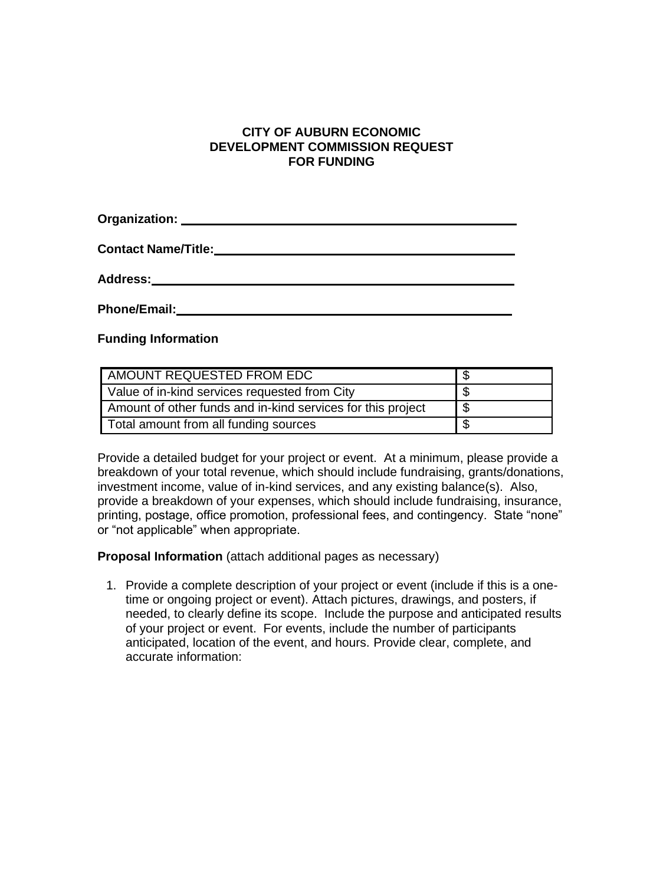## **CITY OF AUBURN ECONOMIC DEVELOPMENT COMMISSION REQUEST FOR FUNDING**

**Organization: Contact Name/Title: Address:**

**Phone/Email:**

**Funding Information**

| AMOUNT REQUESTED FROM EDC                                   |   |
|-------------------------------------------------------------|---|
| Value of in-kind services requested from City               |   |
| Amount of other funds and in-kind services for this project | S |
| Total amount from all funding sources                       |   |

Provide a detailed budget for your project or event. At a minimum, please provide a breakdown of your total revenue, which should include fundraising, grants/donations, investment income, value of in-kind services, and any existing balance(s). Also, provide a breakdown of your expenses, which should include fundraising, insurance, printing, postage, office promotion, professional fees, and contingency. State "none" or "not applicable" when appropriate.

**Proposal Information** (attach additional pages as necessary)

1. Provide a complete description of your project or event (include if this is a onetime or ongoing project or event). Attach pictures, drawings, and posters, if needed, to clearly define its scope. Include the purpose and anticipated results of your project or event. For events, include the number of participants anticipated, location of the event, and hours. Provide clear, complete, and accurate information: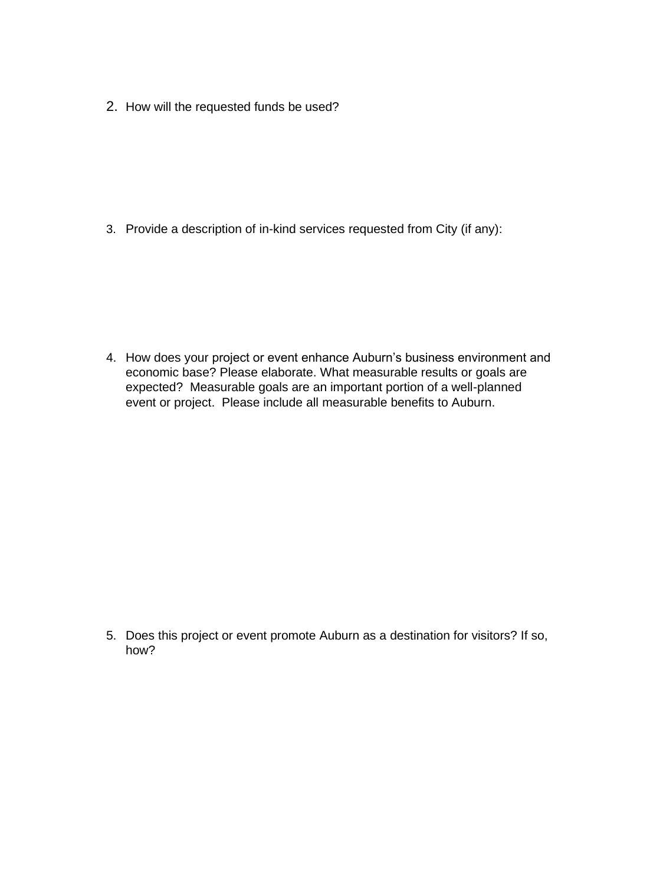2. How will the requested funds be used?

3. Provide a description of in-kind services requested from City (if any):

4. How does your project or event enhance Auburn's business environment and economic base? Please elaborate. What measurable results or goals are expected? Measurable goals are an important portion of a well-planned event or project. Please include all measurable benefits to Auburn.

5. Does this project or event promote Auburn as a destination for visitors? If so, how?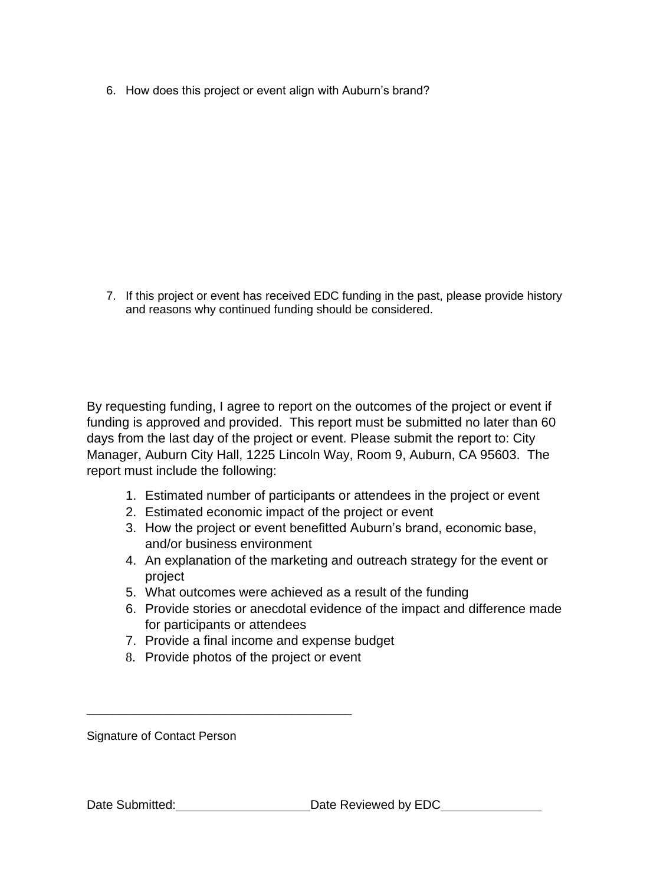6. How does this project or event align with Auburn's brand?

7. If this project or event has received EDC funding in the past, please provide history and reasons why continued funding should be considered.

By requesting funding, I agree to report on the outcomes of the project or event if funding is approved and provided. This report must be submitted no later than 60 days from the last day of the project or event. Please submit the report to: City Manager, Auburn City Hall, 1225 Lincoln Way, Room 9, Auburn, CA 95603. The report must include the following:

- 1. Estimated number of participants or attendees in the project or event
- 2. Estimated economic impact of the project or event
- 3. How the project or event benefitted Auburn's brand, economic base, and/or business environment
- 4. An explanation of the marketing and outreach strategy for the event or project
- 5. What outcomes were achieved as a result of the funding
- 6. Provide stories or anecdotal evidence of the impact and difference made for participants or attendees
- 7. Provide a final income and expense budget
- 8. Provide photos of the project or event

\_\_\_\_\_\_\_\_\_\_\_\_\_\_\_\_\_\_\_\_\_\_\_\_\_\_\_\_\_\_\_\_\_\_\_\_\_\_\_\_

Signature of Contact Person

Date Submitted: Date Reviewed by EDC